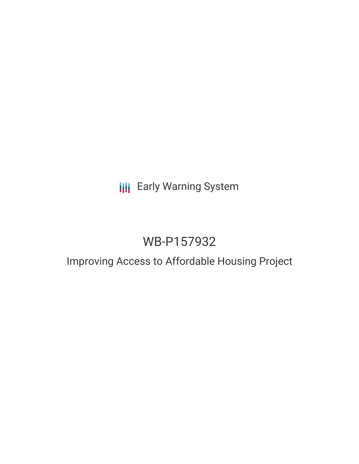## **III** Early Warning System

## WB-P157932

### Improving Access to Affordable Housing Project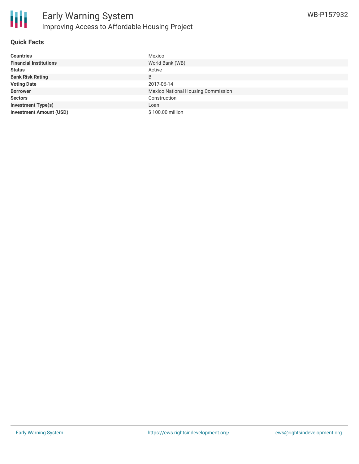

#### **Quick Facts**

| <b>Countries</b>               | Mexico                                    |
|--------------------------------|-------------------------------------------|
| <b>Financial Institutions</b>  | World Bank (WB)                           |
| <b>Status</b>                  | Active                                    |
| <b>Bank Risk Rating</b>        | B                                         |
| <b>Voting Date</b>             | 2017-06-14                                |
| <b>Borrower</b>                | <b>Mexico National Housing Commission</b> |
| <b>Sectors</b>                 | Construction                              |
| <b>Investment Type(s)</b>      | Loan                                      |
| <b>Investment Amount (USD)</b> | \$100.00 million                          |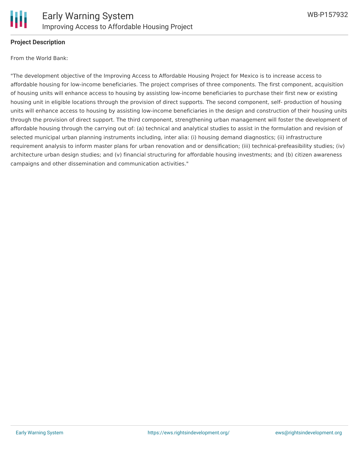

#### **Project Description**

From the World Bank:

"The development objective of the Improving Access to Affordable Housing Project for Mexico is to increase access to affordable housing for low-income beneficiaries. The project comprises of three components. The first component, acquisition of housing units will enhance access to housing by assisting low-income beneficiaries to purchase their first new or existing housing unit in eligible locations through the provision of direct supports. The second component, self- production of housing units will enhance access to housing by assisting low-income beneficiaries in the design and construction of their housing units through the provision of direct support. The third component, strengthening urban management will foster the development of affordable housing through the carrying out of: (a) technical and analytical studies to assist in the formulation and revision of selected municipal urban planning instruments including, inter alia: (i) housing demand diagnostics; (ii) infrastructure requirement analysis to inform master plans for urban renovation and or densification; (iii) technical-prefeasibility studies; (iv) architecture urban design studies; and (v) financial structuring for affordable housing investments; and (b) citizen awareness campaigns and other dissemination and communication activities."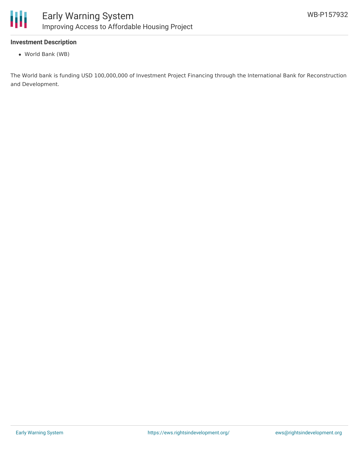

#### **Investment Description**

World Bank (WB)

The World bank is funding USD 100,000,000 of Investment Project Financing through the International Bank for Reconstruction and Development.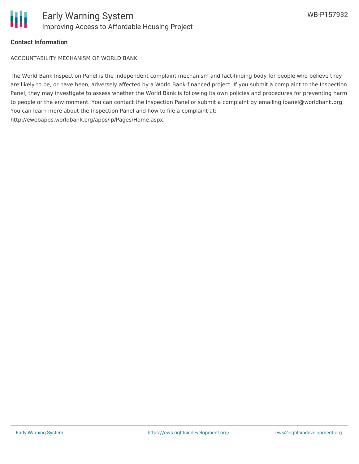

### **Contact Information**

ACCOUNTABILITY MECHANISM OF WORLD BANK

The World Bank Inspection Panel is the independent complaint mechanism and fact-finding body for people who believe they are likely to be, or have been, adversely affected by a World Bank-financed project. If you submit a complaint to the Inspection Panel, they may investigate to assess whether the World Bank is following its own policies and procedures for preventing harm to people or the environment. You can contact the Inspection Panel or submit a complaint by emailing ipanel@worldbank.org. You can learn more about the Inspection Panel and how to file a complaint at: http://ewebapps.worldbank.org/apps/ip/Pages/Home.aspx.